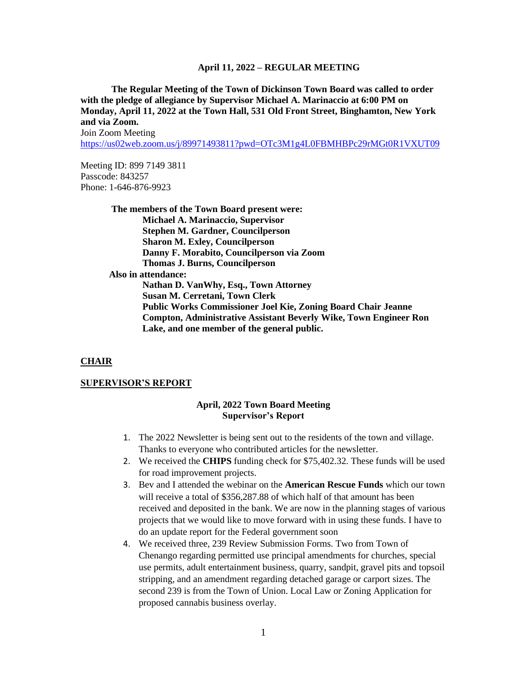**The Regular Meeting of the Town of Dickinson Town Board was called to order with the pledge of allegiance by Supervisor Michael A. Marinaccio at 6:00 PM on Monday, April 11, 2022 at the Town Hall, 531 Old Front Street, Binghamton, New York and via Zoom.**

Join Zoom Meeting

<https://us02web.zoom.us/j/89971493811?pwd=OTc3M1g4L0FBMHBPc29rMGt0R1VXUT09>

Meeting ID: 899 7149 3811 Passcode: 843257 Phone: 1-646-876-9923

> **The members of the Town Board present were: Michael A. Marinaccio, Supervisor Stephen M. Gardner, Councilperson Sharon M. Exley, Councilperson Danny F. Morabito, Councilperson via Zoom Thomas J. Burns, Councilperson Also in attendance: Nathan D. VanWhy, Esq., Town Attorney Susan M. Cerretani, Town Clerk Public Works Commissioner Joel Kie, Zoning Board Chair Jeanne Compton, Administrative Assistant Beverly Wike, Town Engineer Ron Lake, and one member of the general public.**

#### **CHAIR**

#### **SUPERVISOR'S REPORT**

#### **April, 2022 Town Board Meeting Supervisor's Report**

- 1. The 2022 Newsletter is being sent out to the residents of the town and village. Thanks to everyone who contributed articles for the newsletter.
- 2. We received the **CHIPS** funding check for \$75,402.32. These funds will be used for road improvement projects.
- 3. Bev and I attended the webinar on the **American Rescue Funds** which our town will receive a total of \$356,287.88 of which half of that amount has been received and deposited in the bank. We are now in the planning stages of various projects that we would like to move forward with in using these funds. I have to do an update report for the Federal government soon
- 4. We received three, 239 Review Submission Forms. Two from Town of Chenango regarding permitted use principal amendments for churches, special use permits, adult entertainment business, quarry, sandpit, gravel pits and topsoil stripping, and an amendment regarding detached garage or carport sizes. The second 239 is from the Town of Union. Local Law or Zoning Application for proposed cannabis business overlay.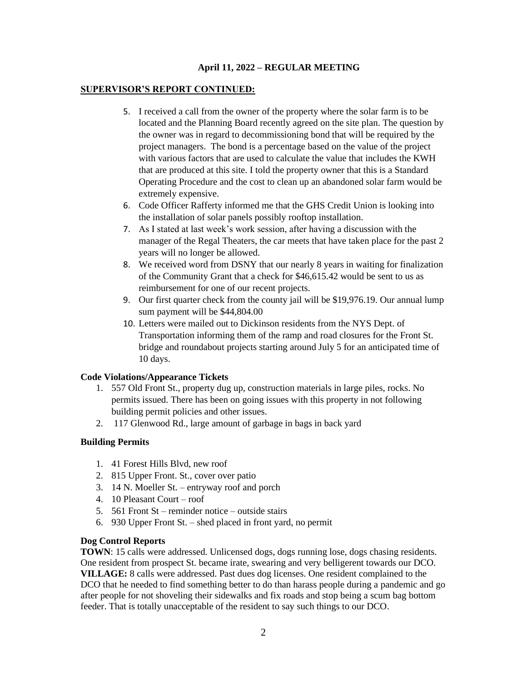## **SUPERVISOR'S REPORT CONTINUED:**

- 5. I received a call from the owner of the property where the solar farm is to be located and the Planning Board recently agreed on the site plan. The question by the owner was in regard to decommissioning bond that will be required by the project managers. The bond is a percentage based on the value of the project with various factors that are used to calculate the value that includes the KWH that are produced at this site. I told the property owner that this is a Standard Operating Procedure and the cost to clean up an abandoned solar farm would be extremely expensive.
- 6. Code Officer Rafferty informed me that the GHS Credit Union is looking into the installation of solar panels possibly rooftop installation.
- 7. As I stated at last week's work session, after having a discussion with the manager of the Regal Theaters, the car meets that have taken place for the past 2 years will no longer be allowed.
- 8. We received word from DSNY that our nearly 8 years in waiting for finalization of the Community Grant that a check for \$46,615.42 would be sent to us as reimbursement for one of our recent projects.
- 9. Our first quarter check from the county jail will be \$19,976.19. Our annual lump sum payment will be \$44,804.00
- 10. Letters were mailed out to Dickinson residents from the NYS Dept. of Transportation informing them of the ramp and road closures for the Front St. bridge and roundabout projects starting around July 5 for an anticipated time of 10 days.

## **Code Violations/Appearance Tickets**

- 1. 557 Old Front St., property dug up, construction materials in large piles, rocks. No permits issued. There has been on going issues with this property in not following building permit policies and other issues.
- 2. 117 Glenwood Rd., large amount of garbage in bags in back yard

# **Building Permits**

- 1. 41 Forest Hills Blvd, new roof
- 2. 815 Upper Front. St., cover over patio
- 3. 14 N. Moeller St. entryway roof and porch
- 4. 10 Pleasant Court roof
- 5. 561 Front St reminder notice outside stairs
- 6. 930 Upper Front St. shed placed in front yard, no permit

## **Dog Control Reports**

**TOWN**: 15 calls were addressed. Unlicensed dogs, dogs running lose, dogs chasing residents. One resident from prospect St. became irate, swearing and very belligerent towards our DCO. **VILLAGE:** 8 calls were addressed. Past dues dog licenses. One resident complained to the DCO that he needed to find something better to do than harass people during a pandemic and go after people for not shoveling their sidewalks and fix roads and stop being a scum bag bottom feeder. That is totally unacceptable of the resident to say such things to our DCO.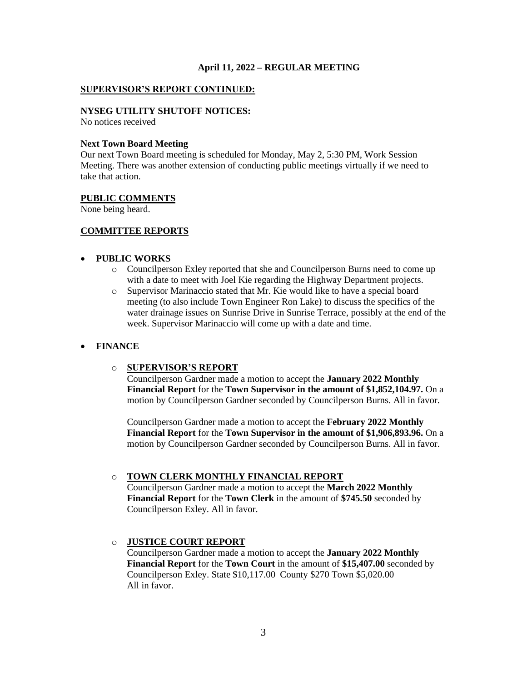### **SUPERVISOR'S REPORT CONTINUED:**

### **NYSEG UTILITY SHUTOFF NOTICES:**

No notices received

#### **Next Town Board Meeting**

Our next Town Board meeting is scheduled for Monday, May 2, 5:30 PM, Work Session Meeting. There was another extension of conducting public meetings virtually if we need to take that action.

#### **PUBLIC COMMENTS**

None being heard.

## **COMMITTEE REPORTS**

#### • **PUBLIC WORKS**

- o Councilperson Exley reported that she and Councilperson Burns need to come up with a date to meet with Joel Kie regarding the Highway Department projects.
- o Supervisor Marinaccio stated that Mr. Kie would like to have a special board meeting (to also include Town Engineer Ron Lake) to discuss the specifics of the water drainage issues on Sunrise Drive in Sunrise Terrace, possibly at the end of the week. Supervisor Marinaccio will come up with a date and time.

## • **FINANCE**

#### o **SUPERVISOR'S REPORT**

Councilperson Gardner made a motion to accept the **January 2022 Monthly Financial Report** for the **Town Supervisor in the amount of \$1,852,104.97.** On a motion by Councilperson Gardner seconded by Councilperson Burns. All in favor.

Councilperson Gardner made a motion to accept the **February 2022 Monthly Financial Report** for the **Town Supervisor in the amount of \$1,906,893.96.** On a motion by Councilperson Gardner seconded by Councilperson Burns. All in favor.

#### o **TOWN CLERK MONTHLY FINANCIAL REPORT**

Councilperson Gardner made a motion to accept the **March 2022 Monthly Financial Report** for the **Town Clerk** in the amount of **\$745.50** seconded by Councilperson Exley. All in favor.

## o **JUSTICE COURT REPORT**

Councilperson Gardner made a motion to accept the **January 2022 Monthly Financial Report** for the **Town Court** in the amount of **\$15,407.00** seconded by Councilperson Exley. State \$10,117.00 County \$270 Town \$5,020.00 All in favor.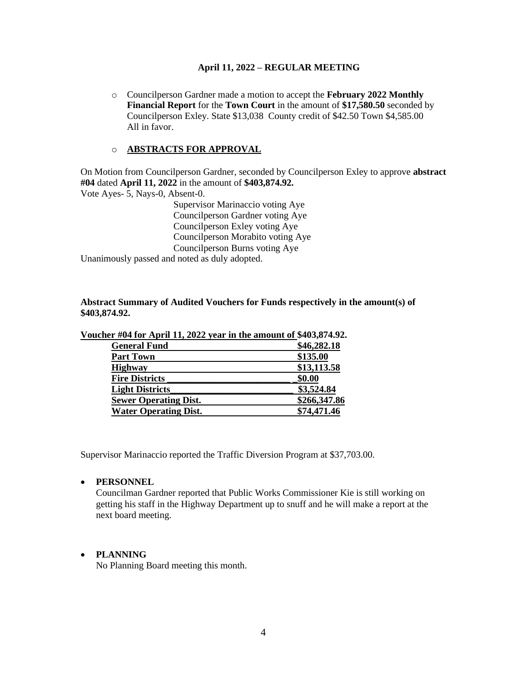o Councilperson Gardner made a motion to accept the **February 2022 Monthly Financial Report** for the **Town Court** in the amount of **\$17,580.50** seconded by Councilperson Exley. State \$13,038 County credit of \$42.50 Town \$4,585.00 All in favor.

## o **ABSTRACTS FOR APPROVAL**

On Motion from Councilperson Gardner, seconded by Councilperson Exley to approve **abstract #04** dated **April 11, 2022** in the amount of **\$403,874.92.** Vote Ayes- 5, Nays-0, Absent-0.

> Supervisor Marinaccio voting Aye Councilperson Gardner voting Aye Councilperson Exley voting Aye Councilperson Morabito voting Aye Councilperson Burns voting Aye

Unanimously passed and noted as duly adopted.

### **Abstract Summary of Audited Vouchers for Funds respectively in the amount(s) of \$403,874.92.**

| <b>General Fund</b>          | \$46,282.18  |
|------------------------------|--------------|
| <b>Part Town</b>             | \$135.00     |
| <b>Highway</b>               | \$13,113.58  |
| <b>Fire Districts</b>        | \$0.00       |
| <b>Light Districts</b>       | \$3,524.84   |
| <b>Sewer Operating Dist.</b> | \$266,347.86 |
| <b>Water Operating Dist.</b> | \$74,471.46  |

**Voucher #04 for April 11, 2022 year in the amount of \$403,874.92.**

Supervisor Marinaccio reported the Traffic Diversion Program at \$37,703.00.

## • **PERSONNEL**

Councilman Gardner reported that Public Works Commissioner Kie is still working on getting his staff in the Highway Department up to snuff and he will make a report at the next board meeting.

## • **PLANNING**

No Planning Board meeting this month.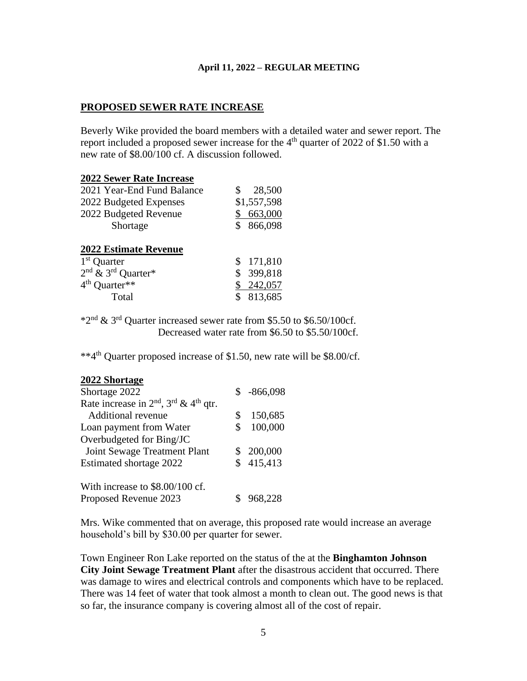## **PROPOSED SEWER RATE INCREASE**

Beverly Wike provided the board members with a detailed water and sewer report. The report included a proposed sewer increase for the  $4<sup>th</sup>$  quarter of 2022 of \$1.50 with a new rate of \$8.00/100 cf. A discussion followed.

### **2022 Sewer Rate Increase**

| <b>2022 Estimate Revenue</b> |               |
|------------------------------|---------------|
| Shortage                     | \$ 866,098    |
| 2022 Budgeted Revenue        | 663,000       |
| 2022 Budgeted Expenses       | \$1,557,598   |
| 2021 Year-End Fund Balance   | 28,500<br>SS. |

| 1 <sup>st</sup> Quarter          | \$171,810  |
|----------------------------------|------------|
| $2nd$ & 3 <sup>rd</sup> Quarter* | \$ 399,818 |
| $4^{\text{th}}$ Quarter**        | \$242,057  |
| Total                            | \$ 813,685 |
|                                  |            |

\*2nd & 3rd Quarter increased sewer rate from \$5.50 to \$6.50/100cf. Decreased water rate from \$6.50 to \$5.50/100cf.

\*\*4th Quarter proposed increase of \$1.50, new rate will be \$8.00/cf.

## **2022 Shortage**

| Shortage 2022                               |    | $$ -866,098$ |
|---------------------------------------------|----|--------------|
| Rate increase in $2nd$ , $3rd$ & $4th$ qtr. |    |              |
| <b>Additional revenue</b>                   | \$ | 150,685      |
| Loan payment from Water                     | S  | 100,000      |
| Overbudgeted for Bing/JC                    |    |              |
| Joint Sewage Treatment Plant                |    | \$200,000    |
| Estimated shortage 2022                     |    | \$415,413    |
| With increase to \$8.00/100 cf.             |    |              |
| Proposed Revenue 2023                       |    | 968,228      |

Mrs. Wike commented that on average, this proposed rate would increase an average household's bill by \$30.00 per quarter for sewer.

Town Engineer Ron Lake reported on the status of the at the **Binghamton Johnson City Joint Sewage Treatment Plant** after the disastrous accident that occurred. There was damage to wires and electrical controls and components which have to be replaced. There was 14 feet of water that took almost a month to clean out. The good news is that so far, the insurance company is covering almost all of the cost of repair.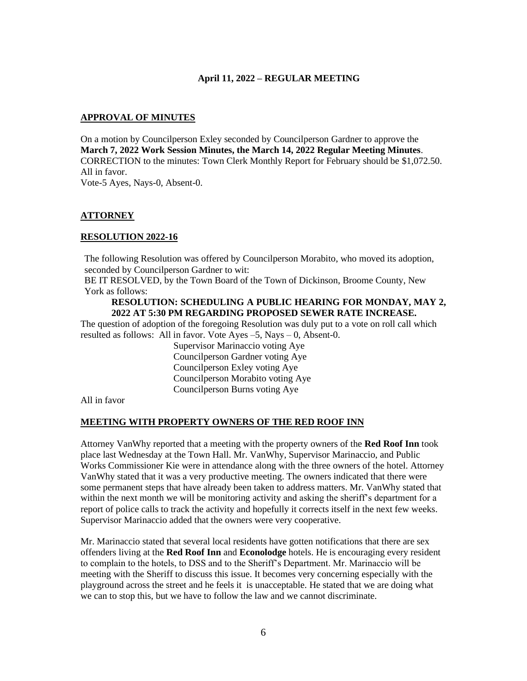### **APPROVAL OF MINUTES**

On a motion by Councilperson Exley seconded by Councilperson Gardner to approve the **March 7, 2022 Work Session Minutes, the March 14, 2022 Regular Meeting Minutes**. CORRECTION to the minutes: Town Clerk Monthly Report for February should be \$1,072.50. All in favor. Vote-5 Ayes, Nays-0, Absent-0.

## **ATTORNEY**

## **RESOLUTION 2022-16**

The following Resolution was offered by Councilperson Morabito, who moved its adoption, seconded by Councilperson Gardner to wit:

BE IT RESOLVED, by the Town Board of the Town of Dickinson, Broome County, New York as follows:

#### **RESOLUTION: SCHEDULING A PUBLIC HEARING FOR MONDAY, MAY 2, 2022 AT 5:30 PM REGARDING PROPOSED SEWER RATE INCREASE.**

The question of adoption of the foregoing Resolution was duly put to a vote on roll call which resulted as follows: All in favor. Vote Ayes  $-5$ , Nays  $-0$ , Absent-0.

> Supervisor Marinaccio voting Aye Councilperson Gardner voting Aye Councilperson Exley voting Aye Councilperson Morabito voting Aye Councilperson Burns voting Aye

All in favor

## **MEETING WITH PROPERTY OWNERS OF THE RED ROOF INN**

Attorney VanWhy reported that a meeting with the property owners of the **Red Roof Inn** took place last Wednesday at the Town Hall. Mr. VanWhy, Supervisor Marinaccio, and Public Works Commissioner Kie were in attendance along with the three owners of the hotel. Attorney VanWhy stated that it was a very productive meeting. The owners indicated that there were some permanent steps that have already been taken to address matters. Mr. VanWhy stated that within the next month we will be monitoring activity and asking the sheriff's department for a report of police calls to track the activity and hopefully it corrects itself in the next few weeks. Supervisor Marinaccio added that the owners were very cooperative.

Mr. Marinaccio stated that several local residents have gotten notifications that there are sex offenders living at the **Red Roof Inn** and **Econolodge** hotels. He is encouraging every resident to complain to the hotels, to DSS and to the Sheriff's Department. Mr. Marinaccio will be meeting with the Sheriff to discuss this issue. It becomes very concerning especially with the playground across the street and he feels it is unacceptable. He stated that we are doing what we can to stop this, but we have to follow the law and we cannot discriminate.